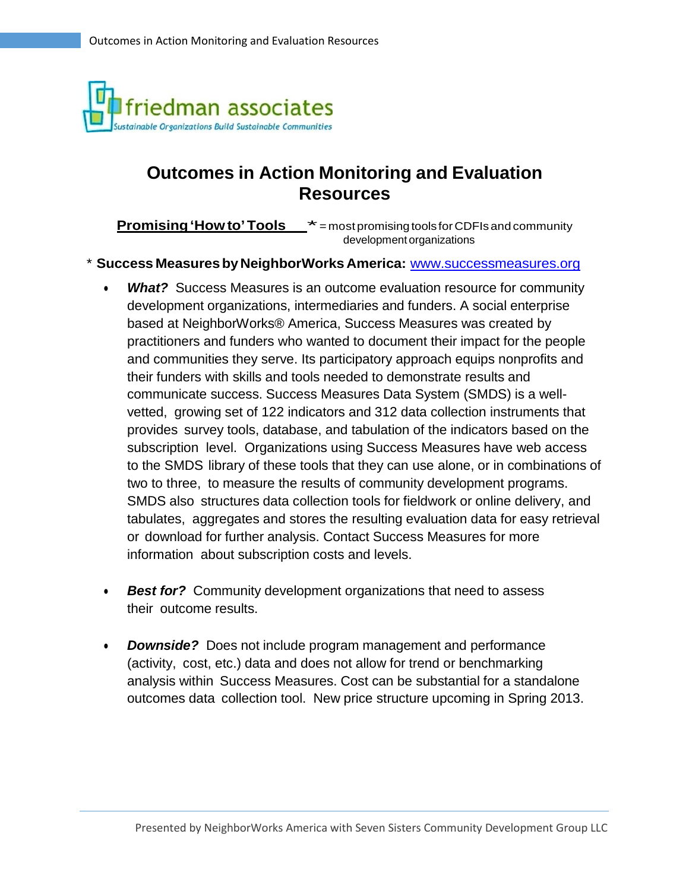

# **Outcomes in Action Monitoring and Evaluation Resources**

**Promising 'How to' Tools**  $* =$  most promising tools for CDFIs and community development organizations

#### \* **Success MeasuresbyNeighborWorks America:** [www.successmeasures.org](http://www.successmeasures.org/)

- *What?* Success Measures is an outcome evaluation resource for community development organizations, intermediaries and funders. A social enterprise based at NeighborWorks® America, Success Measures was created by practitioners and funders who wanted to document their impact for the people and communities they serve. Its participatory approach equips nonprofits and their funders with skills and tools needed to demonstrate results and communicate success. Success Measures Data System (SMDS) is a wellvetted, growing set of 122 indicators and 312 data collection instruments that provides survey tools, database, and tabulation of the indicators based on the subscription level. Organizations using Success Measures have web access to the SMDS library of these tools that they can use alone, or in combinations of two to three, to measure the results of community development programs. SMDS also structures data collection tools for fieldwork or online delivery, and tabulates, aggregates and stores the resulting evaluation data for easy retrieval or download for further analysis. Contact Success Measures for more information about subscription costs and levels.
- *Best for?* Community development organizations that need to assess their outcome results.
- *Downside?* Does not include program management and performance (activity, cost, etc.) data and does not allow for trend or benchmarking analysis within Success Measures. Cost can be substantial for a standalone outcomes data collection tool. New price structure upcoming in Spring 2013.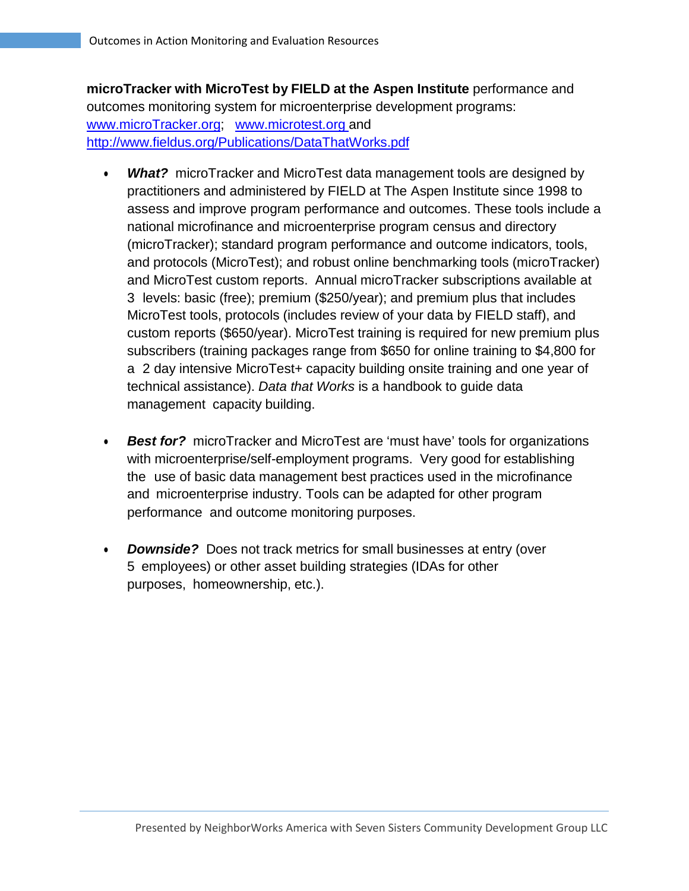**microTracker with MicroTest by FIELD at the Aspen Institute** performance and outcomes monitoring system for microenterprise development programs: [www.microTracker.org;](http://www.microtracker.org/) [www.microtest.org](http://www.microtest.org/) and <http://www.fieldus.org/Publications/DataThatWorks.pdf>

- *What?* microTracker and MicroTest data management tools are designed by practitioners and administered by FIELD at The Aspen Institute since 1998 to assess and improve program performance and outcomes. These tools include a national microfinance and microenterprise program census and directory (microTracker); standard program performance and outcome indicators, tools, and protocols (MicroTest); and robust online benchmarking tools (microTracker) and MicroTest custom reports. Annual microTracker subscriptions available at 3 levels: basic (free); premium (\$250/year); and premium plus that includes MicroTest tools, protocols (includes review of your data by FIELD staff), and custom reports (\$650/year). MicroTest training is required for new premium plus subscribers (training packages range from \$650 for online training to \$4,800 for a 2 day intensive MicroTest+ capacity building onsite training and one year of technical assistance). *Data that Works* is a handbook to guide data management capacity building.
- *Best for?* microTracker and MicroTest are 'must have' tools for organizations with microenterprise/self-employment programs. Very good for establishing the use of basic data management best practices used in the microfinance and microenterprise industry. Tools can be adapted for other program performance and outcome monitoring purposes.
- *Downside?* Does not track metrics for small businesses at entry (over 5 employees) or other asset building strategies (IDAs for other purposes, homeownership, etc.).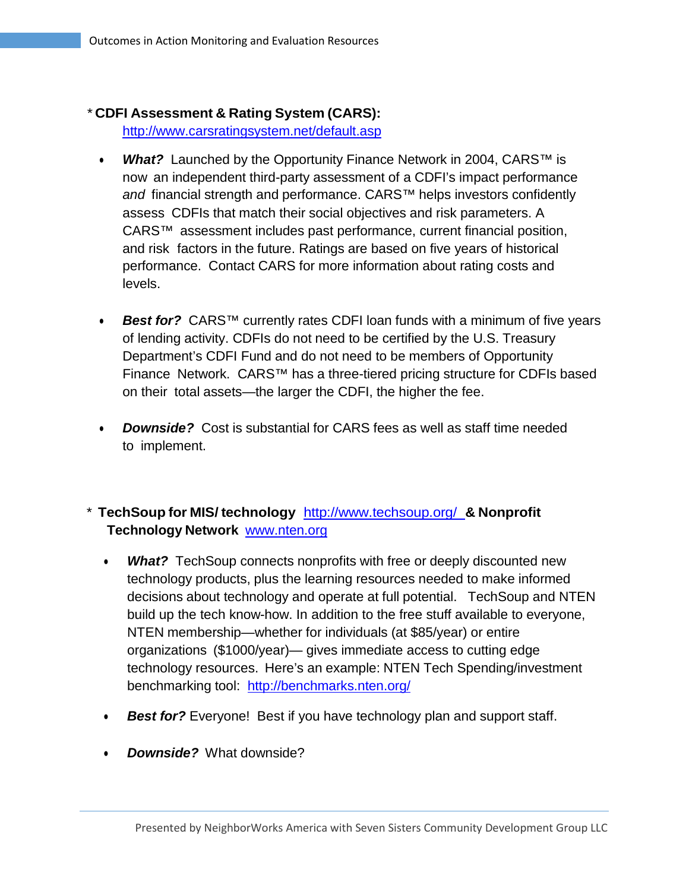# \* **CDFI Assessment & Rating System (CARS):**

<http://www.carsratingsystem.net/default.asp>

- *What?* Launched by the Opportunity Finance Network in 2004, CARS<sup>™</sup> is now an independent third-party assessment of a CDFI's impact performance *and* financial strength and performance. CARS™ helps investors confidently assess CDFIs that match their social objectives and risk parameters. A CARS™ assessment includes past performance, current financial position, and risk factors in the future. Ratings are based on five years of historical performance. Contact CARS for more information about rating costs and levels.
- *Best for?* CARS™ currently rates CDFI loan funds with a minimum of five years of lending activity. CDFIs do not need to be certified by the U.S. Treasury Department's CDFI Fund and do not need to be members of Opportunity Finance Network. CARS™ has a three-tiered pricing structure for CDFIs based on their total assets—the larger the CDFI, the higher the fee.
- *Downside?* Cost is substantial for CARS fees as well as staff time needed to implement.

# \* **TechSoup for MIS/ technology** <http://www.techsoup.org/> **& Nonprofit Technology Network** [www.nten.org](http://www.nten.org/)

- *What?* TechSoup connects nonprofits with free or deeply discounted new technology products, plus the learning resources needed to make informed decisions about technology and operate at full potential. TechSoup and NTEN build up the tech know-how. In addition to the free stuff available to everyone, NTEN membership—whether for individuals (at \$85/year) or entire organizations (\$1000/year)— gives immediate access to cutting edge technology resources. Here's an example: NTEN Tech Spending/investment benchmarking tool: <http://benchmarks.nten.org/>
- **Best for?** Everyone! Best if you have technology plan and support staff.
- *Downside?* What downside?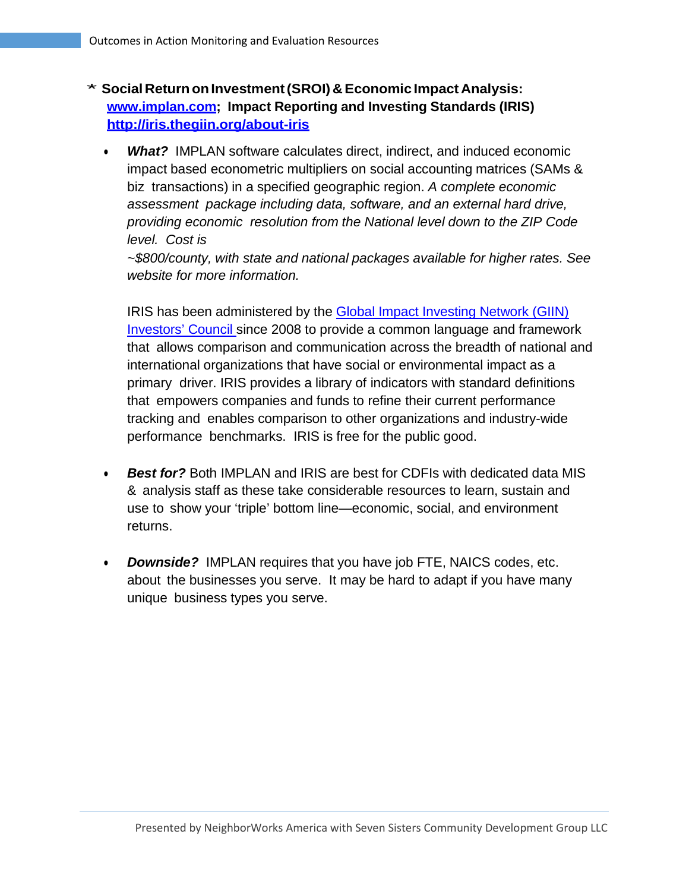- \* **Social ReturnonInvestment(SROI) & Economic Impact Analysis: [www.implan.com;](http://www.implan.com/) Impact Reporting and Investing Standards (IRIS) <http://iris.thegiin.org/about-iris>**
	- *What?* IMPLAN software calculates direct, indirect, and induced economic impact based econometric multipliers on social accounting matrices (SAMs & biz transactions) in a specified geographic region. *A complete economic assessment package including data, software, and an external hard drive, providing economic resolution from the National level down to the ZIP Code level. Cost is*

*~\$800/county, with state and national packages available for higher rates. See website for more information.*

IRIS has been administered by the Global [Impact Investing](http://www.thegiin.org/cgi-bin/iowa/council/index.html) Network (GIIN) [Investors'](http://www.thegiin.org/cgi-bin/iowa/council/index.html) Council since 2008 to provide a common language and framework that allows comparison and communication across the breadth of national and international organizations that have social or environmental impact as a primary driver. IRIS provides a library of indicators with standard definitions that empowers companies and funds to refine their current performance tracking and enables comparison to other organizations and industry-wide performance benchmarks. IRIS is free for the public good.

- *Best for?* Both IMPLAN and IRIS are best for CDFIs with dedicated data MIS & analysis staff as these take considerable resources to learn, sustain and use to show your 'triple' bottom line—economic, social, and environment returns.
- *Downside?* IMPLAN requires that you have job FTE, NAICS codes, etc. about the businesses you serve. It may be hard to adapt if you have many unique business types you serve.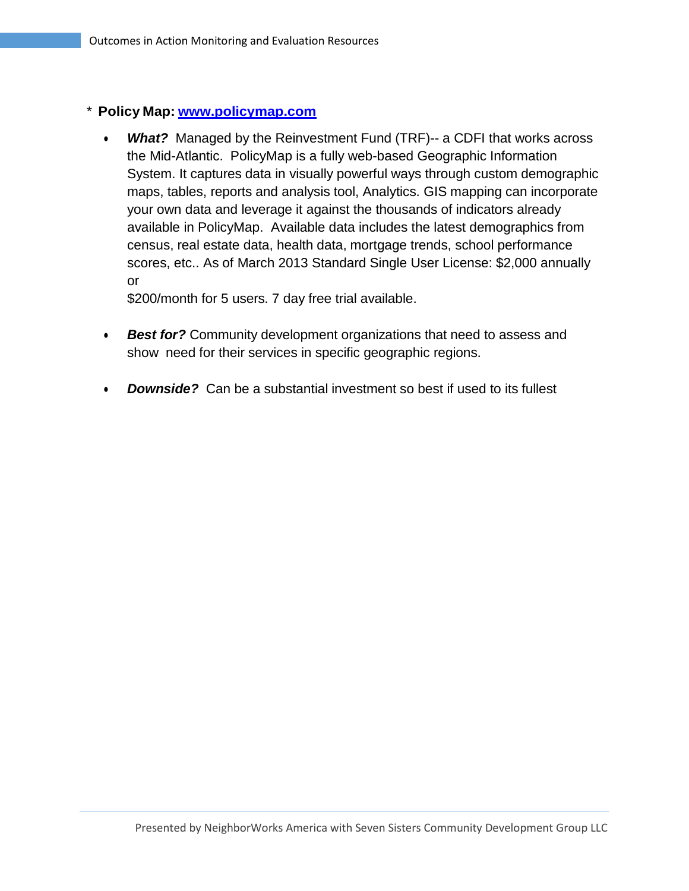## \* **Policy Map: [www.policymap.com](http://www.policymap.com/)**

• *What?* Managed by the Reinvestment Fund (TRF)-- a CDFI that works across the Mid-Atlantic. PolicyMap is a fully web-based Geographic Information System. It captures data in visually powerful ways through custom demographic maps, tables, reports and analysis tool, Analytics. GIS mapping can incorporate your own data and leverage it against the thousands of indicators already available in PolicyMap. Available data includes the latest demographics from census, real estate data, health data, mortgage trends, school performance scores, etc.. As of March 2013 Standard Single User License: \$2,000 annually or

\$200/month for 5 users. 7 day free trial available.

- *Best for?* Community development organizations that need to assess and show need for their services in specific geographic regions.
- *Downside?* Can be a substantial investment so best if used to its fullest